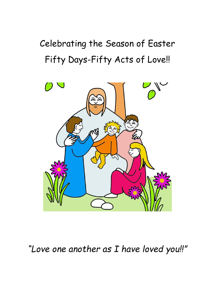## Celebrating the Season of Easter Fifty Days-Fifty Acts of Love!!



*"Love one another as I have loved you!!"*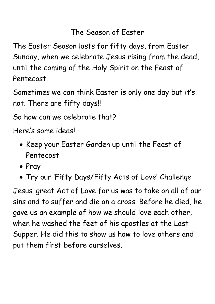## The Season of Easter

The Easter Season lasts for fifty days, from Easter Sunday, when we celebrate Jesus rising from the dead, until the coming of the Holy Spirit on the Feast of Pentecost.

Sometimes we can think Easter is only one day but it's not. There are fifty days!!

So how can we celebrate that?

Here's some ideas!

- Keep your Easter Garden up until the Feast of Pentecost
- Pray
- Try our 'Fifty Days/Fifty Acts of Love' Challenge

Jesus' great Act of Love for us was to take on all of our sins and to suffer and die on a cross. Before he died, he gave us an example of how we should love each other, when he washed the feet of his apostles at the Last Supper. He did this to show us how to love others and put them first before ourselves.